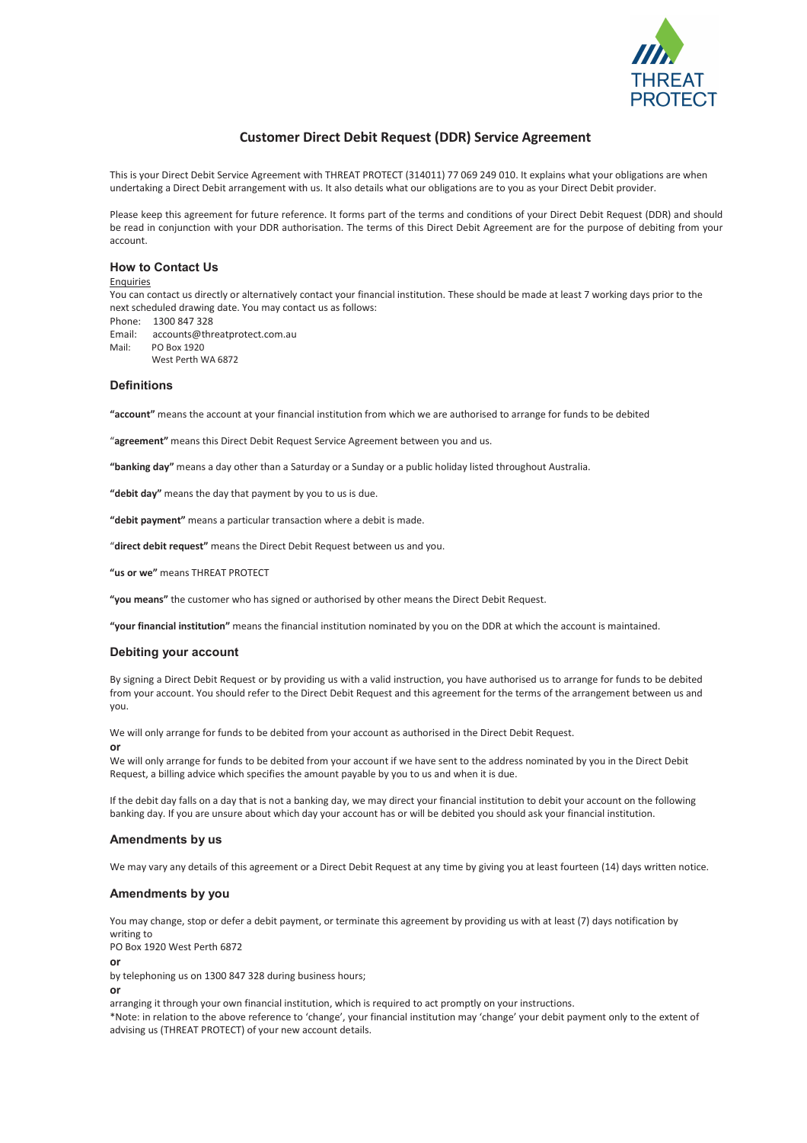

# **Customer Direct Debit Request (DDR) Service Agreement**

This is your Direct Debit Service Agreement with THREAT PROTECT (314011) 77 069 249 010. It explains what your obligations are when undertaking a Direct Debit arrangement with us. It also details what our obligations are to you as your Direct Debit provider.

Please keep this agreement for future reference. It forms part of the terms and conditions of your Direct Debit Request (DDR) and should be read in conjunction with your DDR authorisation. The terms of this Direct Debit Agreement are for the purpose of debiting from your account.

## **How to Contact Us**

#### Enquiries

You can contact us directly or alternatively contact your financial institution. These should be made at least 7 working days prior to the next scheduled drawing date. You may contact us as follows:

Phone: 1300 847 328

Email: accounts@threatprotect.com.au Mail: PO Box 1920

West Perth WA 6872

## **Definitions**

**"account"** means the account at your financial institution from which we are authorised to arrange for funds to be debited

"**agreement"** means this Direct Debit Request Service Agreement between you and us.

**"banking day"** means a day other than a Saturday or a Sunday or a public holiday listed throughout Australia.

**"debit day"** means the day that payment by you to us is due.

**"debit payment"** means a particular transaction where a debit is made.

"**direct debit request"** means the Direct Debit Request between us and you.

**"us or we"** means THREAT PROTECT

**"you means"** the customer who has signed or authorised by other means the Direct Debit Request.

**"your financial institution"** means the financial institution nominated by you on the DDR at which the account is maintained.

# **Debiting your account**

By signing a Direct Debit Request or by providing us with a valid instruction, you have authorised us to arrange for funds to be debited from your account. You should refer to the Direct Debit Request and this agreement for the terms of the arrangement between us and you.

We will only arrange for funds to be debited from your account as authorised in the Direct Debit Request.

#### **or**

We will only arrange for funds to be debited from your account if we have sent to the address nominated by you in the Direct Debit Request, a billing advice which specifies the amount payable by you to us and when it is due.

If the debit day falls on a day that is not a banking day, we may direct your financial institution to debit your account on the following banking day. If you are unsure about which day your account has or will be debited you should ask your financial institution.

## **Amendments by us**

We may vary any details of this agreement or a Direct Debit Request at any time by giving you at least fourteen (14) days written notice.

## **Amendments by you**

You may change, stop or defer a debit payment, or terminate this agreement by providing us with at least (7) days notification by writing to

PO Box 1920 West Perth 6872

**or** 

by telephoning us on 1300 847 328 during business hours;

**or** 

arranging it through your own financial institution, which is required to act promptly on your instructions.

\*Note: in relation to the above reference to 'change', your financial institution may 'change' your debit payment only to the extent of advising us (THREAT PROTECT) of your new account details.